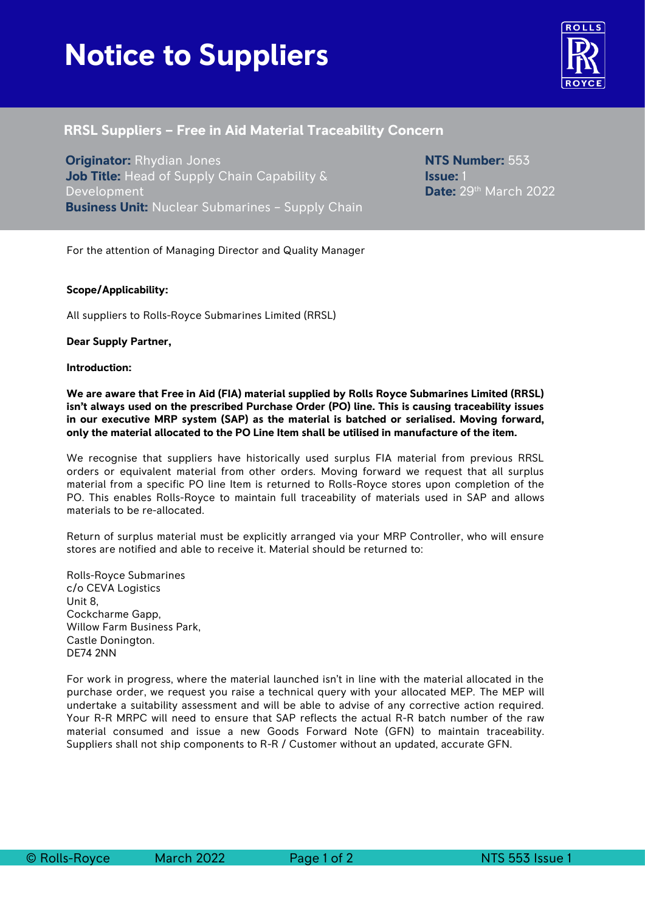# **Notice to Suppliers**



## **RRSL Suppliers – Free in Aid Material Traceability Concern**

**Originator:** Rhydian Jones **Job Title:** Head of Supply Chain Capability & Development **Business Unit:** Nuclear Submarines – Supply Chain **NTS Number:** 553 **Issue:** 1 **Date:** 29th March 2022

For the attention of Managing Director and Quality Manager

#### **Scope/Applicability:**

All suppliers to Rolls-Royce Submarines Limited (RRSL)

**Dear Supply Partner,**

**Introduction:**

**We are aware that Free in Aid (FIA) material supplied by Rolls Royce Submarines Limited (RRSL) isn't always used on the prescribed Purchase Order (PO) line. This is causing traceability issues in our executive MRP system (SAP) as the material is batched or serialised. Moving forward, only the material allocated to the PO Line Item shall be utilised in manufacture of the item.**

We recognise that suppliers have historically used surplus FIA material from previous RRSL orders or equivalent material from other orders. Moving forward we request that all surplus material from a specific PO line Item is returned to Rolls-Royce stores upon completion of the PO. This enables Rolls-Royce to maintain full traceability of materials used in SAP and allows materials to be re-allocated.

Return of surplus material must be explicitly arranged via your MRP Controller, who will ensure stores are notified and able to receive it. Material should be returned to:

Rolls-Royce Submarines c/o CEVA Logistics Unit 8, Cockcharme Gapp, Willow Farm Business Park, Castle Donington. DE74 2NN

For work in progress, where the material launched isn't in line with the material allocated in the purchase order, we request you raise a technical query with your allocated MEP. The MEP will undertake a suitability assessment and will be able to advise of any corrective action required. Your R-R MRPC will need to ensure that SAP reflects the actual R-R batch number of the raw material consumed and issue a new Goods Forward Note (GFN) to maintain traceability. Suppliers shall not ship components to R-R / Customer without an updated, accurate GFN.